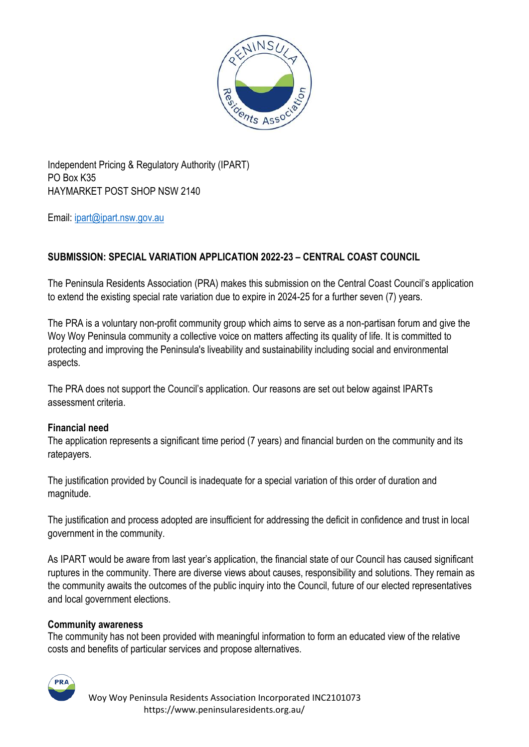

Independent Pricing & Regulatory Authority (IPART) PO Box K35 HAYMARKET POST SHOP NSW 2140

Email: [ipart@ipart.nsw.gov.au](mailto:ipart@ipart.nsw.gov.au)

# **SUBMISSION: SPECIAL VARIATION APPLICATION 2022-23 – CENTRAL COAST COUNCIL**

The Peninsula Residents Association (PRA) makes this submission on the Central Coast Council's application to extend the existing special rate variation due to expire in 2024-25 for a further seven (7) years.

The PRA is a voluntary non-profit community group which aims to serve as a non-partisan forum and give the Woy Woy Peninsula community a collective voice on matters affecting its quality of life. It is committed to protecting and improving the Peninsula's liveability and sustainability including social and environmental aspects.

The PRA does not support the Council's application. Our reasons are set out below against IPARTs assessment criteria.

## **Financial need**

The application represents a significant time period (7 years) and financial burden on the community and its ratepayers.

The justification provided by Council is inadequate for a special variation of this order of duration and magnitude.

The justification and process adopted are insufficient for addressing the deficit in confidence and trust in local government in the community.

As IPART would be aware from last year's application, the financial state of our Council has caused significant ruptures in the community. There are diverse views about causes, responsibility and solutions. They remain as the community awaits the outcomes of the public inquiry into the Council, future of our elected representatives and local government elections.

## **Community awareness**

The community has not been provided with meaningful information to form an educated view of the relative costs and benefits of particular services and propose alternatives.

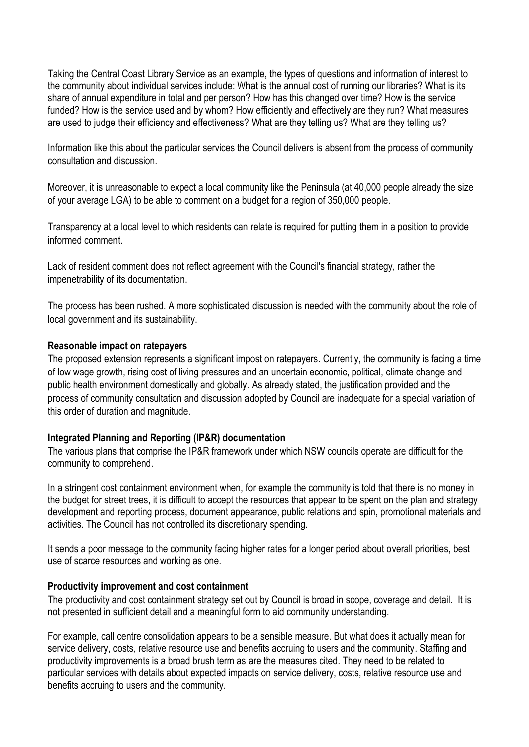Taking the Central Coast Library Service as an example, the types of questions and information of interest to the community about individual services include: What is the annual cost of running our libraries? What is its share of annual expenditure in total and per person? How has this changed over time? How is the service funded? How is the service used and by whom? How efficiently and effectively are they run? What measures are used to judge their efficiency and effectiveness? What are they telling us? What are they telling us?

Information like this about the particular services the Council delivers is absent from the process of community consultation and discussion.

Moreover, it is unreasonable to expect a local community like the Peninsula (at 40,000 people already the size of your average LGA) to be able to comment on a budget for a region of 350,000 people.

Transparency at a local level to which residents can relate is required for putting them in a position to provide informed comment.

Lack of resident comment does not reflect agreement with the Council's financial strategy, rather the impenetrability of its documentation.

The process has been rushed. A more sophisticated discussion is needed with the community about the role of local government and its sustainability.

### **Reasonable impact on ratepayers**

The proposed extension represents a significant impost on ratepayers. Currently, the community is facing a time of low wage growth, rising cost of living pressures and an uncertain economic, political, climate change and public health environment domestically and globally. As already stated, the justification provided and the process of community consultation and discussion adopted by Council are inadequate for a special variation of this order of duration and magnitude.

## **Integrated Planning and Reporting (IP&R) documentation**

The various plans that comprise the IP&R framework under which NSW councils operate are difficult for the community to comprehend.

In a stringent cost containment environment when, for example the community is told that there is no money in the budget for street trees, it is difficult to accept the resources that appear to be spent on the plan and strategy development and reporting process, document appearance, public relations and spin, promotional materials and activities. The Council has not controlled its discretionary spending.

It sends a poor message to the community facing higher rates for a longer period about overall priorities, best use of scarce resources and working as one.

#### **Productivity improvement and cost containment**

The productivity and cost containment strategy set out by Council is broad in scope, coverage and detail. It is not presented in sufficient detail and a meaningful form to aid community understanding.

For example, call centre consolidation appears to be a sensible measure. But what does it actually mean for service delivery, costs, relative resource use and benefits accruing to users and the community. Staffing and productivity improvements is a broad brush term as are the measures cited. They need to be related to particular services with details about expected impacts on service delivery, costs, relative resource use and benefits accruing to users and the community.